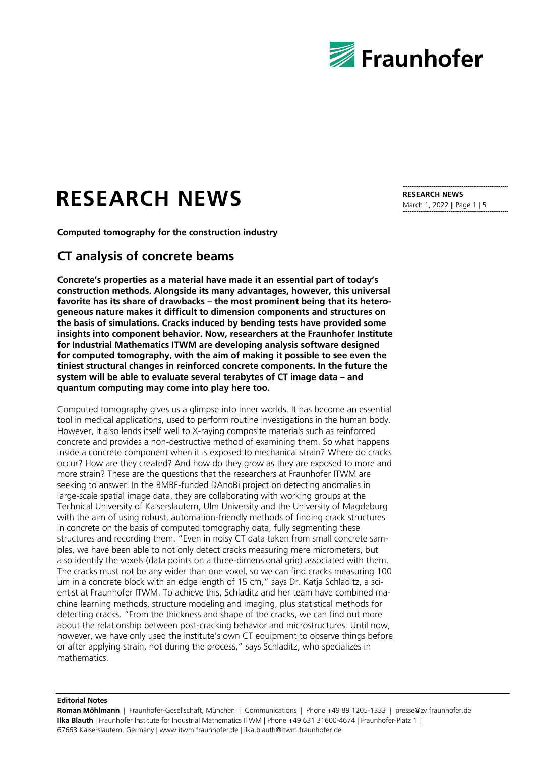

# **RESEARCH NEWS**

**Computed tomography for the construction industry**

## **CT analysis of concrete beams**

**Concrete's properties as a material have made it an essential part of today's construction methods. Alongside its many advantages, however, this universal favorite has its share of drawbacks – the most prominent being that its heterogeneous nature makes it difficult to dimension components and structures on the basis of simulations. Cracks induced by bending tests have provided some insights into component behavior. Now, researchers at the Fraunhofer Institute for Industrial Mathematics ITWM are developing analysis software designed for computed tomography, with the aim of making it possible to see even the tiniest structural changes in reinforced concrete components. In the future the system will be able to evaluate several terabytes of CT image data – and quantum computing may come into play here too.**

Computed tomography gives us a glimpse into inner worlds. It has become an essential tool in medical applications, used to perform routine investigations in the human body. However, it also lends itself well to X-raying composite materials such as reinforced concrete and provides a non-destructive method of examining them. So what happens inside a concrete component when it is exposed to mechanical strain? Where do cracks occur? How are they created? And how do they grow as they are exposed to more and more strain? These are the questions that the researchers at Fraunhofer ITWM are seeking to answer. In the BMBF-funded DAnoBi project on detecting anomalies in large-scale spatial image data, they are collaborating with working groups at the Technical University of Kaiserslautern, Ulm University and the University of Magdeburg with the aim of using robust, automation-friendly methods of finding crack structures in concrete on the basis of computed tomography data, fully segmenting these structures and recording them. "Even in noisy CT data taken from small concrete samples, we have been able to not only detect cracks measuring mere micrometers, but also identify the voxels (data points on a three-dimensional grid) associated with them. The cracks must not be any wider than one voxel, so we can find cracks measuring 100 µm in a concrete block with an edge length of 15 cm," says Dr. Katja Schladitz, a scientist at Fraunhofer ITWM. To achieve this, Schladitz and her team have combined machine learning methods, structure modeling and imaging, plus statistical methods for detecting cracks. "From the thickness and shape of the cracks, we can find out more about the relationship between post-cracking behavior and microstructures. Until now, however, we have only used the institute's own CT equipment to observe things before or after applying strain, not during the process," says Schladitz, who specializes in mathematics.

**RESEARCH NEWS**  March 1, 2022 || Page 1 | 5

**Editorial Notes**

**Roman Möhlmann** | Fraunhofer-Gesellschaft, München | Communications | Phone +49 89 1205-1333 | presse@zv.fraunhofer.de **Ilka Blauth** | Fraunhofer Institute for Industrial Mathematics ITWM | Phone +49 631 31600-4674 | Fraunhofer-Platz 1 | 67663 Kaiserslautern, Germany | www.itwm.fraunhofer.de | ilka.blauth@itwm.fraunhofer.de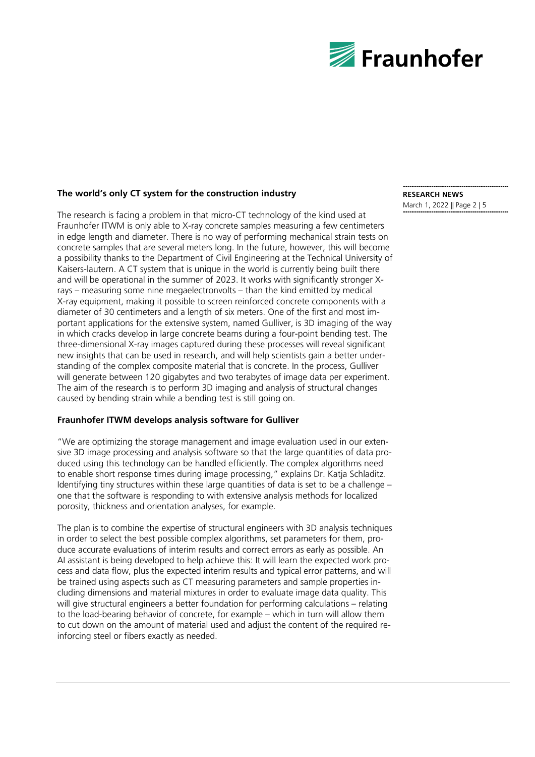

#### **The world's only CT system for the construction industry**

The research is facing a problem in that micro-CT technology of the kind used at Fraunhofer ITWM is only able to X-ray concrete samples measuring a few centimeters in edge length and diameter. There is no way of performing mechanical strain tests on concrete samples that are several meters long. In the future, however, this will become a possibility thanks to the Department of Civil Engineering at the Technical University of Kaisers-lautern. A CT system that is unique in the world is currently being built there and will be operational in the summer of 2023. It works with significantly stronger Xrays – measuring some nine megaelectronvolts – than the kind emitted by medical X-ray equipment, making it possible to screen reinforced concrete components with a diameter of 30 centimeters and a length of six meters. One of the first and most important applications for the extensive system, named Gulliver, is 3D imaging of the way in which cracks develop in large concrete beams during a four-point bending test. The three-dimensional X-ray images captured during these processes will reveal significant new insights that can be used in research, and will help scientists gain a better understanding of the complex composite material that is concrete. In the process, Gulliver will generate between 120 gigabytes and two terabytes of image data per experiment. The aim of the research is to perform 3D imaging and analysis of structural changes caused by bending strain while a bending test is still going on.

#### **Fraunhofer ITWM develops analysis software for Gulliver**

"We are optimizing the storage management and image evaluation used in our extensive 3D image processing and analysis software so that the large quantities of data produced using this technology can be handled efficiently. The complex algorithms need to enable short response times during image processing," explains Dr. Katja Schladitz. Identifying tiny structures within these large quantities of data is set to be a challenge – one that the software is responding to with extensive analysis methods for localized porosity, thickness and orientation analyses, for example.

The plan is to combine the expertise of structural engineers with 3D analysis techniques in order to select the best possible complex algorithms, set parameters for them, produce accurate evaluations of interim results and correct errors as early as possible. An AI assistant is being developed to help achieve this: It will learn the expected work process and data flow, plus the expected interim results and typical error patterns, and will be trained using aspects such as CT measuring parameters and sample properties including dimensions and material mixtures in order to evaluate image data quality. This will give structural engineers a better foundation for performing calculations – relating to the load-bearing behavior of concrete, for example – which in turn will allow them to cut down on the amount of material used and adjust the content of the required reinforcing steel or fibers exactly as needed.

### **RESEARCH NEWS**

March 1, 2022 || Page 2 | 5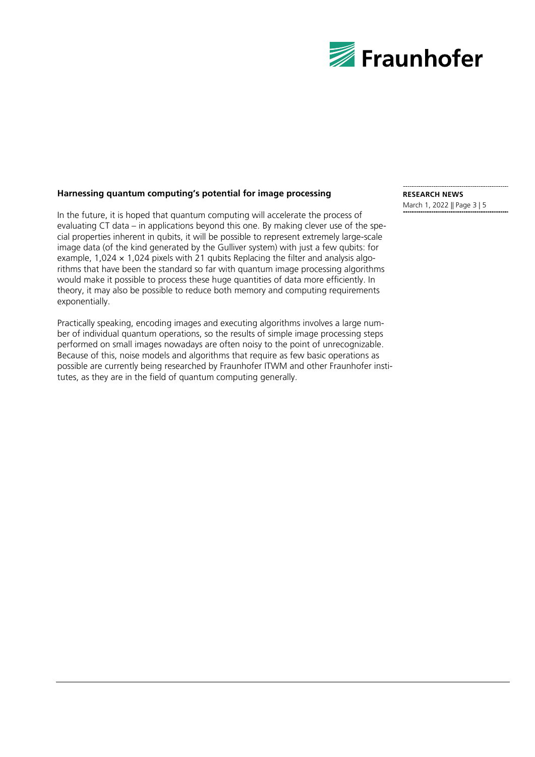

#### **Harnessing quantum computing's potential for image processing**

In the future, it is hoped that quantum computing will accelerate the process of evaluating CT data – in applications beyond this one. By making clever use of the special properties inherent in qubits, it will be possible to represent extremely large-scale image data (of the kind generated by the Gulliver system) with just a few qubits: for example, 1,024  $\times$  1,024 pixels with 21 qubits Replacing the filter and analysis algorithms that have been the standard so far with quantum image processing algorithms would make it possible to process these huge quantities of data more efficiently. In theory, it may also be possible to reduce both memory and computing requirements exponentially.

Practically speaking, encoding images and executing algorithms involves a large number of individual quantum operations, so the results of simple image processing steps performed on small images nowadays are often noisy to the point of unrecognizable. Because of this, noise models and algorithms that require as few basic operations as possible are currently being researched by Fraunhofer ITWM and other Fraunhofer institutes, as they are in the field of quantum computing generally.

# **RESEARCH NEWS**

March 1, 2022 || Page 3 | 5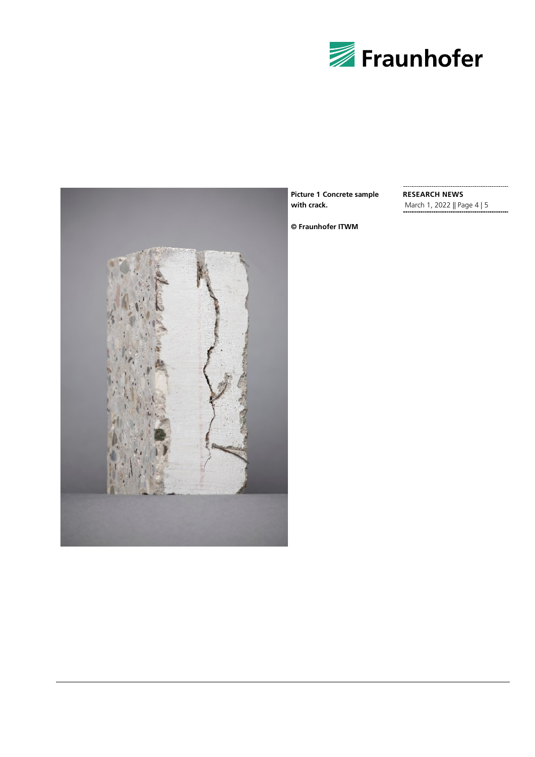



**Picture 1 Concrete sample with crack.**

**RESEARCH NEWS** March 1, 2022 || Page 4 | 5

**© Fraunhofer ITWM**